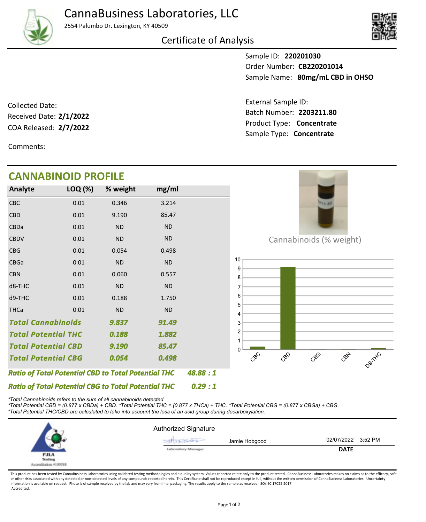

2554 Palumbo Dr. Lexington, KY 40509





Sample ID: **220201030** Sample Name: 80mg/mL CBD in OHSO Order Number: **CB220201014**

Product Type: **Concentrate 2/7/2022** Batch Number: **2203211.80** External Sample ID: Sample Type: **Concentrate**

COA Released: 2/7/2022 Collected Date: Received Date: **2/1/2022**

Comments:

## **CANNABINOID PROFILE**

| Analyte                                                    | LOQ (%)   | % weight  | mg/ml     |  |
|------------------------------------------------------------|-----------|-----------|-----------|--|
| CBC                                                        | 0.01      | 0.346     | 3.214     |  |
| <b>CBD</b>                                                 | 0.01      | 9.190     | 85.47     |  |
| <b>CBDa</b>                                                | 0.01      | <b>ND</b> | <b>ND</b> |  |
| <b>CBDV</b>                                                | 0.01      | <b>ND</b> | <b>ND</b> |  |
| <b>CBG</b>                                                 | 0.01      | 0.054     | 0.498     |  |
| <b>CBGa</b>                                                | 0.01      | <b>ND</b> | <b>ND</b> |  |
| <b>CBN</b>                                                 | 0.01      | 0.060     | 0.557     |  |
| d8-THC                                                     | 0.01      | <b>ND</b> | <b>ND</b> |  |
| d9-THC                                                     | 0.01      | 0.188     | 1.750     |  |
| <b>THCa</b>                                                | 0.01      | <b>ND</b> | <b>ND</b> |  |
| <b>Total Cannabinoids</b>                                  |           | 9.837     | 91.49     |  |
| <b>Total Potential THC</b>                                 |           | 0.188     | 1.882     |  |
| <b>Total Potential CBD</b>                                 |           | 9.190     | 85.47     |  |
| <b>Total Potential CBG</b>                                 |           | 0.054     | 0.498     |  |
| <b>Ratio of Total Potential CBD to Total Potential THC</b> | 48.88 : 1 |           |           |  |



Cannabinoids (% weight)



*\*Total Cannabinoids refers to the sum of all cannabinoids detected.*

*Ratio of Total Potential CBG to Total Potential THC*

*\*Total Potential CBD = (0.877 x CBDa) + CBD. \*Total Potential THC = (0.877 x THCa) + THC. \*Total Potential CBG = (0.877 x CBGa) + CBG. \*Total Potential THC/CBD are calculated to take into account the loss of an acid group during decarboxylation.*



*0.29 : 1*

This product has been tested by CannaBusiness Laboratories using validated testing methodologies and a quality system. Values reported relate only to the product tested. CannaBusiness Laboratories makes no claims as to the or other risks associated with any detected or non-detected levels of any compounds reported herein. This Certificate shall not be reproduced except in full, without the written permission of CannaBusiness Laboratories. Un information is available on request. Photo is of sample received by the lab and may vary from final packaging. The results apply to the sample as received. ISO/IEC 17025:2017 Accredited.